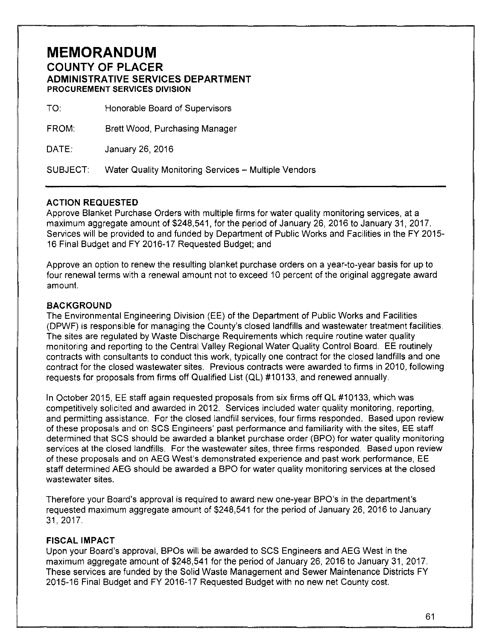## **MEMORANDUM**

**COUNTY OF PLACER ADMINISTRATIVE SERVICES DEPARTMENT PROCUREMENT SERVICES DIVISION** 

| TO:          | Honorable Board of Supervisors |
|--------------|--------------------------------|
| <b>FROM:</b> | Brett Wood, Purchasing Manager |
| DATE:        | January 26, 2016               |

SUBJECT: Water Quality Monitoring Services- Multiple Vendors

## **ACTION REQUESTED**

Approve Blanket Purchase Orders with multiple firms for water quality monitoring services, at a maximum aggregate amount of \$248,541, for the period of January 26, 2016 to January 31, 2017. Services will be provided to and funded by Department of Public Works and Facilities in the FY 2015- 16 Final Budget and FY 2016-17 Requested Budget; and

Approve an option to renew the resulting blanket purchase orders on a year-to-year basis for up to four renewal terms with a renewal amount not to exceed 10 percent of the original aggregate award amount.

## **BACKGROUND**

The Environmental Engineering Division (EE) of the Department of Public Works and Facilities (DPWF) is responsible for managing the County's closed landfills and wastewater treatment facilities. The sites are regulated by Waste Discharge Requirements which require routine water quality monitoring and reporting to the Central Valley Regional Water Quality Control Board. EE routinely contracts with consultants to conduct this work, typically one contract for the closed landfills and one contract for the closed wastewater sites. Previous contracts were awarded to firms in 2010, following requests for proposals from firms off Qualified List (QL) #1 0133, and renewed annually.

In October 2015, EE staff again requested proposals from six firms off QL #10133, which was competitively solicited and awarded in 2012. Services included water quality monitoring, reporting, and permitting assistance. For the closed landfill services, four firms responded. Based upon review of these proposals and on SCS Engineers' past performance and familiarity with the sites, EE staff determined that SCS should be awarded a blanket purchase order (BPO) for water quality monitoring services at the closed landfills. For the wastewater sites, three firms responded. Based upon review of these proposals and on AEG West's demonstrated experience and past work performance, EE staff determined AEG should be awarded a BPO for water quality monitoring services at the closed wastewater sites.

Therefore your Board's approval is required to award new one-year BPO's in the department's requested maximum aggregate amount of \$248,541 for the period of January 26, 2016 to January 31,2017.

## **FISCAL IMPACT**

Upon your Board's approval, BPOs will be awarded to SCS Engineers and AEG West in the maximum aggregate amount of \$248,541 for the period of January 26, 2016 to January 31, 2017. These services are funded by the Solid Waste Management and Sewer Maintenance Districts FY 2015-16 Final Budget and FY 2016-17 Requested Budget with no new net County cost.